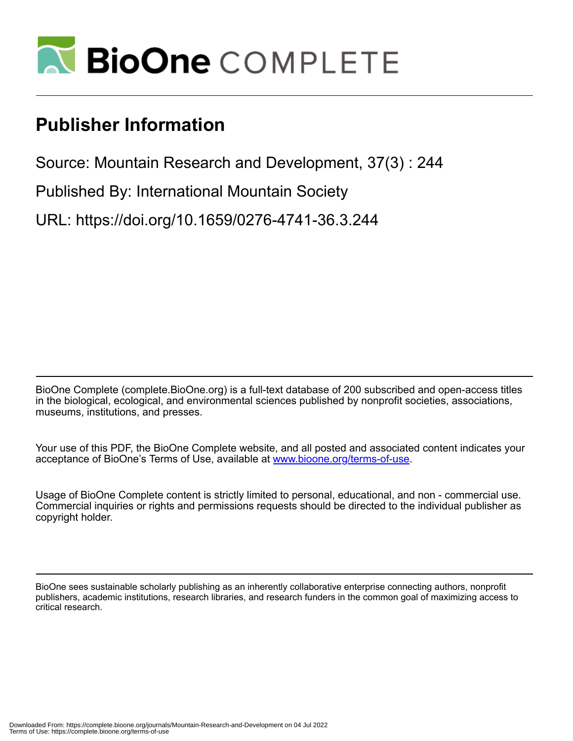

# **Publisher Information**

Source: Mountain Research and Development, 37(3) : 244

Published By: International Mountain Society

URL: https://doi.org/10.1659/0276-4741-36.3.244

BioOne Complete (complete.BioOne.org) is a full-text database of 200 subscribed and open-access titles in the biological, ecological, and environmental sciences published by nonprofit societies, associations, museums, institutions, and presses.

Your use of this PDF, the BioOne Complete website, and all posted and associated content indicates your acceptance of BioOne's Terms of Use, available at www.bioone.org/terms-of-use.

Usage of BioOne Complete content is strictly limited to personal, educational, and non - commercial use. Commercial inquiries or rights and permissions requests should be directed to the individual publisher as copyright holder.

BioOne sees sustainable scholarly publishing as an inherently collaborative enterprise connecting authors, nonprofit publishers, academic institutions, research libraries, and research funders in the common goal of maximizing access to critical research.